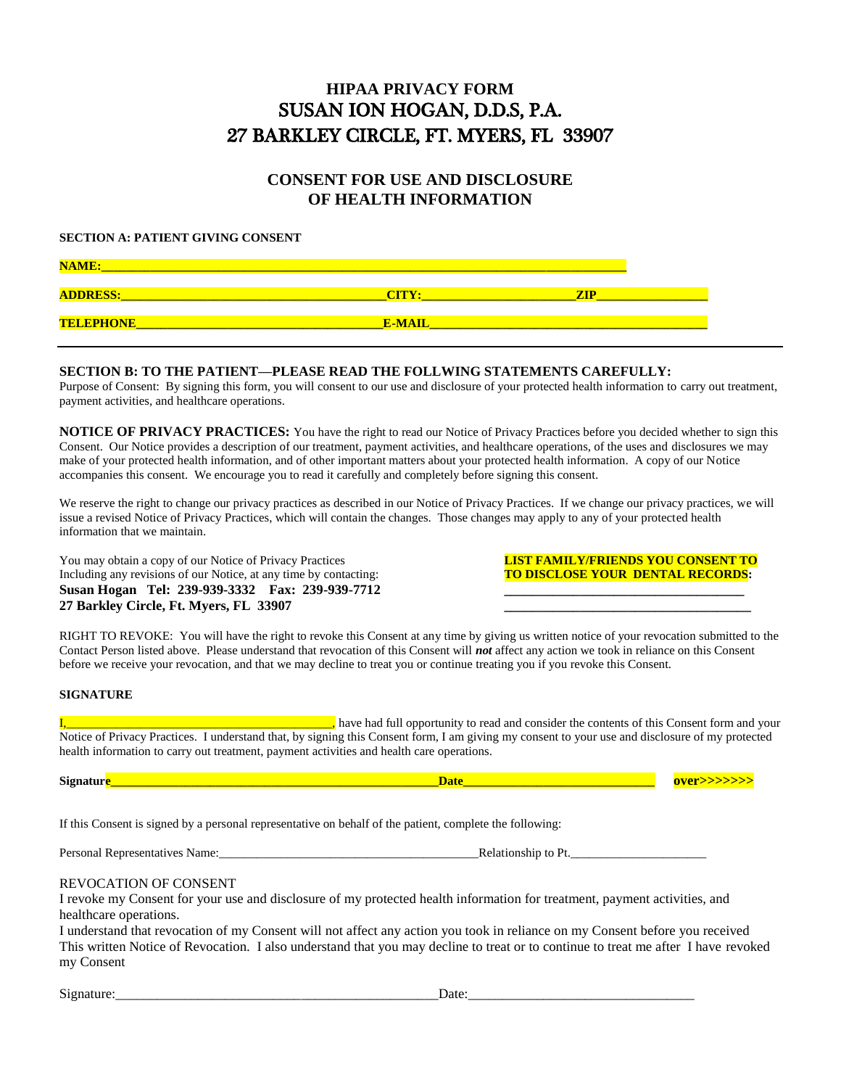# **HIPAA PRIVACY FORM** SUSAN ION HOGAN, D.D.S, P.A. 27 BARKLEY CIRCLE, FT. MYERS, FL 33907

## **CONSENT FOR USE AND DISCLOSURE OF HEALTH INFORMATION**

#### **SECTION A: PATIENT GIVING CONSENT**

| <b>NAME:</b>     |               |  |
|------------------|---------------|--|
| <b>ADDRESS:</b>  |               |  |
| <b>TELEPHONE</b> | <b>E-MAIL</b> |  |

#### **SECTION B: TO THE PATIENT—PLEASE READ THE FOLLWING STATEMENTS CAREFULLY:**

Purpose of Consent: By signing this form, you will consent to our use and disclosure of your protected health information to carry out treatment, payment activities, and healthcare operations.

**NOTICE OF PRIVACY PRACTICES:** You have the right to read our Notice of Privacy Practices before you decided whether to sign this Consent. Our Notice provides a description of our treatment, payment activities, and healthcare operations, of the uses and disclosures we may make of your protected health information, and of other important matters about your protected health information. A copy of our Notice accompanies this consent. We encourage you to read it carefully and completely before signing this consent.

We reserve the right to change our privacy practices as described in our Notice of Privacy Practices. If we change our privacy practices, we will issue a revised Notice of Privacy Practices, which will contain the changes. Those changes may apply to any of your protected health information that we maintain.

You may obtain a copy of our Notice of Privacy Practices **LIST FAMILY/FRIENDS YOU CONSENT TO**<br>
Including any revisions of our Notice, at any time by contacting: **TO DISCLOSE YOUR DENTAL RECORDS**: Including any revisions of our Notice, at any time by contacting: Susan Hogan Tel: 239-939-3332 Fax: 239-939-7712 **27 Barkley Circle, Ft. Myers, FL 33907 \_\_\_\_\_\_\_\_\_\_\_\_\_\_\_\_\_\_\_\_\_\_\_\_\_\_\_\_\_\_\_\_\_\_\_\_**

RIGHT TO REVOKE: You will have the right to revoke this Consent at any time by giving us written notice of your revocation submitted to the Contact Person listed above. Please understand that revocation of this Consent will *not* affect any action we took in reliance on this Consent before we receive your revocation, and that we may decline to treat you or continue treating you if you revoke this Consent.

#### **SIGNATURE**

I,\_\_\_\_\_\_\_\_\_\_\_\_\_\_\_\_\_\_\_\_\_\_\_\_\_\_\_\_\_\_\_\_\_\_\_\_\_\_\_\_\_\_\_, have had full opportunity to read and consider the contents of this Consent form and your Notice of Privacy Practices. I understand that, by signing this Consent form, I am giving my consent to your use and disclosure of my protected health information to carry out treatment, payment activities and health care operations.

If this Consent is signed by a personal representative on behalf of the patient, complete the following:

Personal Representatives Name:\_\_\_\_\_\_\_\_\_\_\_\_\_\_\_\_\_\_\_\_\_\_\_\_\_\_\_\_\_\_\_\_\_\_\_\_\_\_\_\_\_\_Relationship to Pt.\_\_\_\_\_\_\_\_\_\_\_\_\_\_\_\_\_\_\_\_\_\_

REVOCATION OF CONSENT

I revoke my Consent for your use and disclosure of my protected health information for treatment, payment activities, and healthcare operations.

I understand that revocation of my Consent will not affect any action you took in reliance on my Consent before you received This written Notice of Revocation. I also understand that you may decline to treat or to continue to treat me after I have revoked my Consent

Signature:\_\_\_\_\_\_\_\_\_\_\_\_\_\_\_\_\_\_\_\_\_\_\_\_\_\_\_\_\_\_\_\_\_\_\_\_\_\_\_\_\_\_\_\_\_\_\_Date:\_\_\_\_\_\_\_\_\_\_\_\_\_\_\_\_\_\_\_\_\_\_\_\_\_\_\_\_\_\_\_\_\_

**Signature\_\_\_\_\_\_\_\_\_\_\_\_\_\_\_\_\_\_\_\_\_\_\_\_\_\_\_\_\_\_\_\_\_\_\_\_\_\_\_\_\_\_\_\_\_\_\_\_\_\_\_\_\_Date\_\_\_\_\_\_\_\_\_\_\_\_\_\_\_\_\_\_\_\_\_\_\_\_\_\_\_\_\_\_\_ over>>>>>>>**